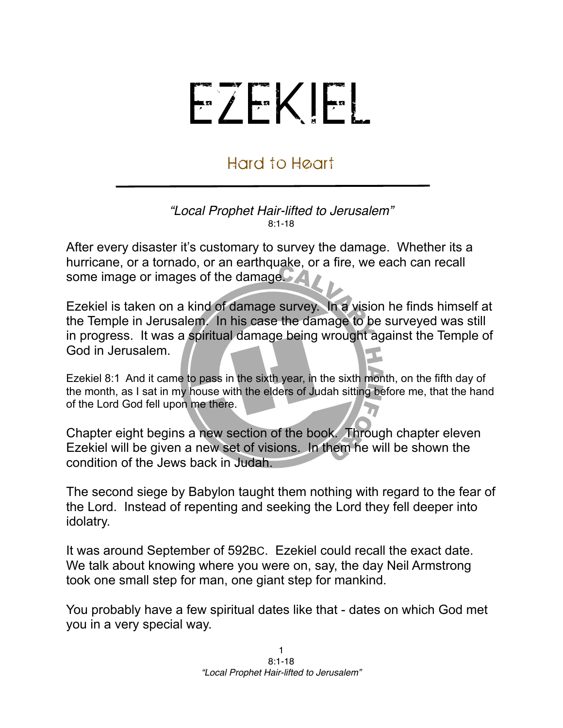## EZEKIEL

## Hard to Heart

## *"Local Prophet Hair-lifted to Jerusalem"* 8:1-18

After every disaster it's customary to survey the damage. Whether its a hurricane, or a tornado, or an earthquake, or a fire, we each can recall some image or images of the damage.

Ezekiel is taken on a kind of damage survey. In a vision he finds himself at the Temple in Jerusalem. In his case the damage to be surveyed was still in progress. It was a spiritual damage being wrought against the Temple of God in Jerusalem.

Ezekiel 8:1 And it came to pass in the sixth year, in the sixth month, on the fifth day of the month, as I sat in my house with the elders of Judah sitting before me, that the hand of the Lord God fell upon me there.

Chapter eight begins a new section of the book. Through chapter eleven Ezekiel will be given a new set of visions. In them he will be shown the condition of the Jews back in Judah.

The second siege by Babylon taught them nothing with regard to the fear of the Lord. Instead of repenting and seeking the Lord they fell deeper into idolatry.

It was around September of 592BC. Ezekiel could recall the exact date. We talk about knowing where you were on, say, the day Neil Armstrong took one small step for man, one giant step for mankind.

You probably have a few spiritual dates like that - dates on which God met you in a very special way.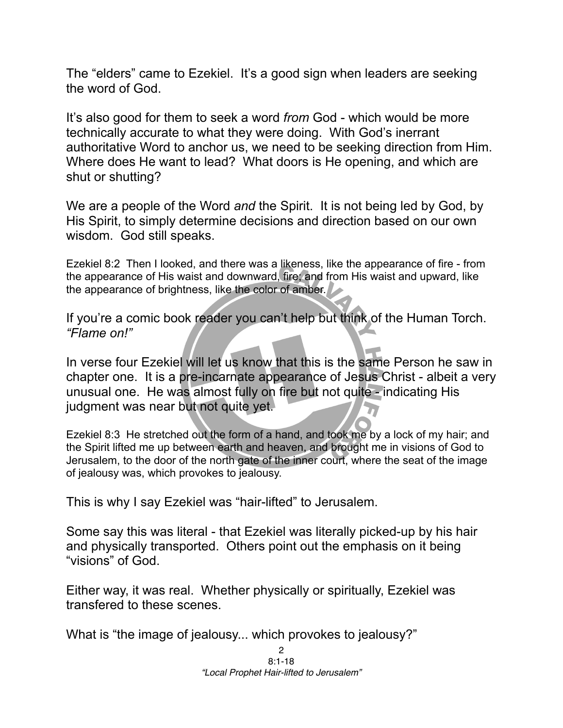The "elders" came to Ezekiel. It's a good sign when leaders are seeking the word of God.

It's also good for them to seek a word *from* God - which would be more technically accurate to what they were doing. With God's inerrant authoritative Word to anchor us, we need to be seeking direction from Him. Where does He want to lead? What doors is He opening, and which are shut or shutting?

We are a people of the Word *and* the Spirit. It is not being led by God, by His Spirit, to simply determine decisions and direction based on our own wisdom. God still speaks.

Ezekiel 8:2 Then I looked, and there was a likeness, like the appearance of fire - from the appearance of His waist and downward, fire; and from His waist and upward, like the appearance of brightness, like the color of amber.

If you're a comic book reader you can't help but think of the Human Torch. *"Flame on!"* 

In verse four Ezekiel will let us know that this is the same Person he saw in chapter one. It is a pre-incarnate appearance of Jesus Christ - albeit a very unusual one. He was almost fully on fire but not quite - indicating His judgment was near but not quite yet.

Ezekiel 8:3 He stretched out the form of a hand, and took me by a lock of my hair; and the Spirit lifted me up between earth and heaven, and brought me in visions of God to Jerusalem, to the door of the north gate of the inner court, where the seat of the image of jealousy was, which provokes to jealousy.

This is why I say Ezekiel was "hair-lifted" to Jerusalem.

Some say this was literal - that Ezekiel was literally picked-up by his hair and physically transported. Others point out the emphasis on it being "visions" of God.

Either way, it was real. Whether physically or spiritually, Ezekiel was transfered to these scenes.

What is "the image of jealousy... which provokes to jealousy?"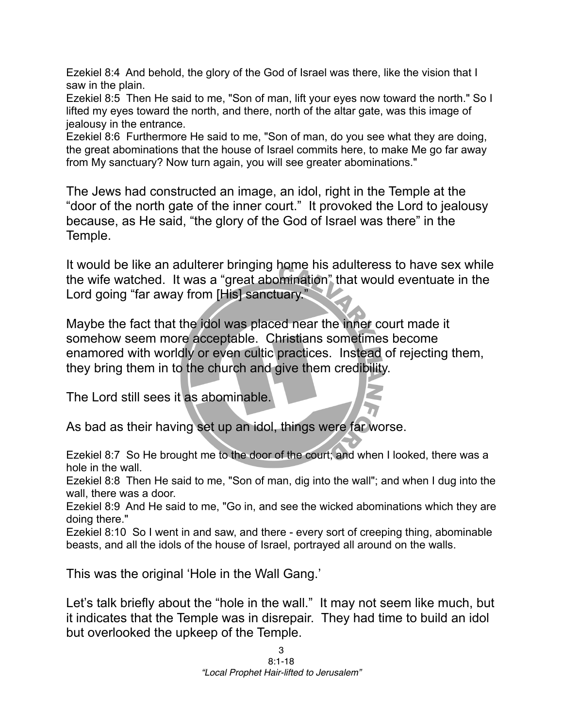Ezekiel 8:4 And behold, the glory of the God of Israel was there, like the vision that I saw in the plain.

Ezekiel 8:5 Then He said to me, "Son of man, lift your eyes now toward the north." So I lifted my eyes toward the north, and there, north of the altar gate, was this image of jealousy in the entrance.

Ezekiel 8:6 Furthermore He said to me, "Son of man, do you see what they are doing, the great abominations that the house of Israel commits here, to make Me go far away from My sanctuary? Now turn again, you will see greater abominations."

The Jews had constructed an image, an idol, right in the Temple at the "door of the north gate of the inner court." It provoked the Lord to jealousy because, as He said, "the glory of the God of Israel was there" in the Temple.

It would be like an adulterer bringing home his adulteress to have sex while the wife watched. It was a "great abomination" that would eventuate in the Lord going "far away from [His] sanctuary."

Maybe the fact that the idol was placed near the inner court made it somehow seem more acceptable. Christians sometimes become enamored with worldly or even cultic practices. Instead of rejecting them, they bring them in to the church and give them credibility.

The Lord still sees it as abominable.

As bad as their having set up an idol, things were far worse.

Ezekiel 8:7 So He brought me to the door of the court; and when I looked, there was a hole in the wall.

Ezekiel 8:8 Then He said to me, "Son of man, dig into the wall"; and when I dug into the wall, there was a door.

Ezekiel 8:9 And He said to me, "Go in, and see the wicked abominations which they are doing there."

Ezekiel 8:10 So I went in and saw, and there - every sort of creeping thing, abominable beasts, and all the idols of the house of Israel, portrayed all around on the walls.

This was the original 'Hole in the Wall Gang.'

Let's talk briefly about the "hole in the wall." It may not seem like much, but it indicates that the Temple was in disrepair. They had time to build an idol but overlooked the upkeep of the Temple.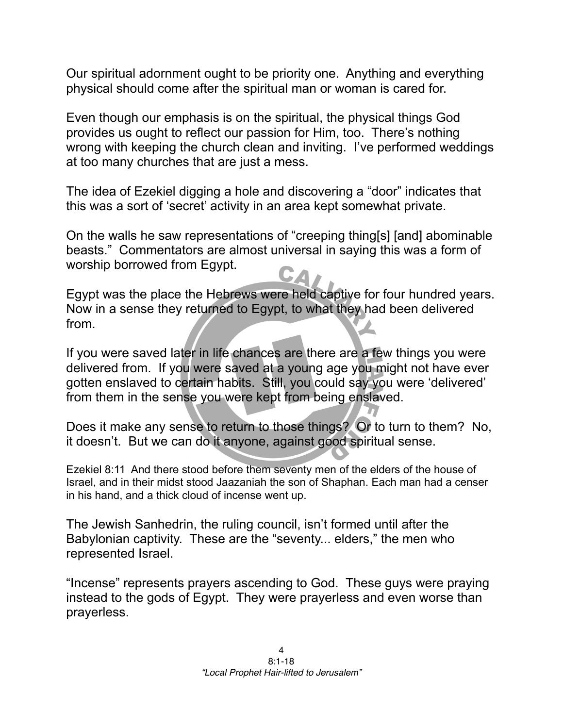Our spiritual adornment ought to be priority one. Anything and everything physical should come after the spiritual man or woman is cared for.

Even though our emphasis is on the spiritual, the physical things God provides us ought to reflect our passion for Him, too. There's nothing wrong with keeping the church clean and inviting. I've performed weddings at too many churches that are just a mess.

The idea of Ezekiel digging a hole and discovering a "door" indicates that this was a sort of 'secret' activity in an area kept somewhat private.

On the walls he saw representations of "creeping thing[s] [and] abominable beasts." Commentators are almost universal in saying this was a form of worship borrowed from Egypt.

Egypt was the place the Hebrews were held captive for four hundred years. Now in a sense they returned to Egypt, to what they had been delivered from.

If you were saved later in life chances are there are a few things you were delivered from. If you were saved at a young age you might not have ever gotten enslaved to certain habits. Still, you could say you were 'delivered' from them in the sense you were kept from being enslaved.

Does it make any sense to return to those things? Or to turn to them? No, it doesn't. But we can do it anyone, against good spiritual sense.

Ezekiel 8:11 And there stood before them seventy men of the elders of the house of Israel, and in their midst stood Jaazaniah the son of Shaphan. Each man had a censer in his hand, and a thick cloud of incense went up.

The Jewish Sanhedrin, the ruling council, isn't formed until after the Babylonian captivity. These are the "seventy... elders," the men who represented Israel.

"Incense" represents prayers ascending to God. These guys were praying instead to the gods of Egypt. They were prayerless and even worse than prayerless.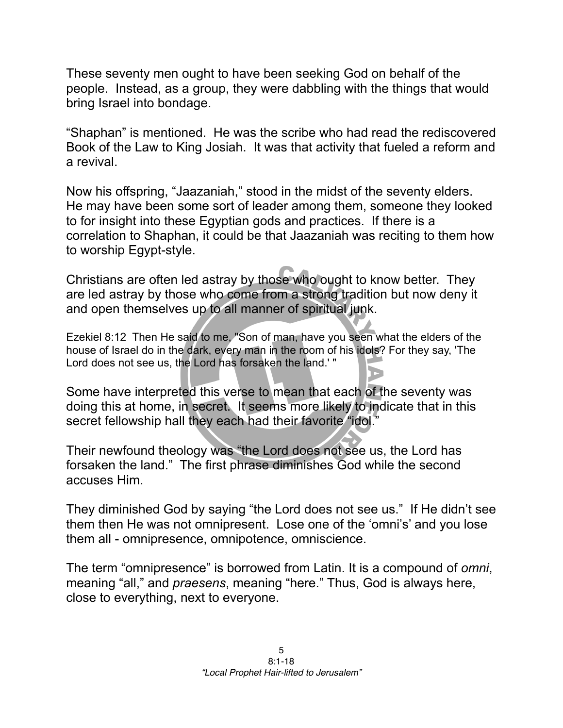These seventy men ought to have been seeking God on behalf of the people. Instead, as a group, they were dabbling with the things that would bring Israel into bondage.

"Shaphan" is mentioned. He was the scribe who had read the rediscovered Book of the Law to King Josiah. It was that activity that fueled a reform and a revival.

Now his offspring, "Jaazaniah," stood in the midst of the seventy elders. He may have been some sort of leader among them, someone they looked to for insight into these Egyptian gods and practices. If there is a correlation to Shaphan, it could be that Jaazaniah was reciting to them how to worship Egypt-style.

Christians are often led astray by those who ought to know better. They are led astray by those who come from a strong tradition but now deny it and open themselves up to all manner of spiritual junk.

Ezekiel 8:12 Then He said to me, "Son of man, have you seen what the elders of the house of Israel do in the dark, every man in the room of his idols? For they say, 'The Lord does not see us, the Lord has forsaken the land.' "

Some have interpreted this verse to mean that each of the seventy was doing this at home, in secret. It seems more likely to indicate that in this secret fellowship hall they each had their favorite "idol."

Their newfound theology was "the Lord does not see us, the Lord has forsaken the land." The first phrase diminishes God while the second accuses Him.

They diminished God by saying "the Lord does not see us." If He didn't see them then He was not omnipresent. Lose one of the 'omni's' and you lose them all - omnipresence, omnipotence, omniscience.

The term "omnipresence" is borrowed from Latin. It is a compound of *omni*, meaning "all," and *praesens*, meaning "here." Thus, God is always here, close to everything, next to everyone.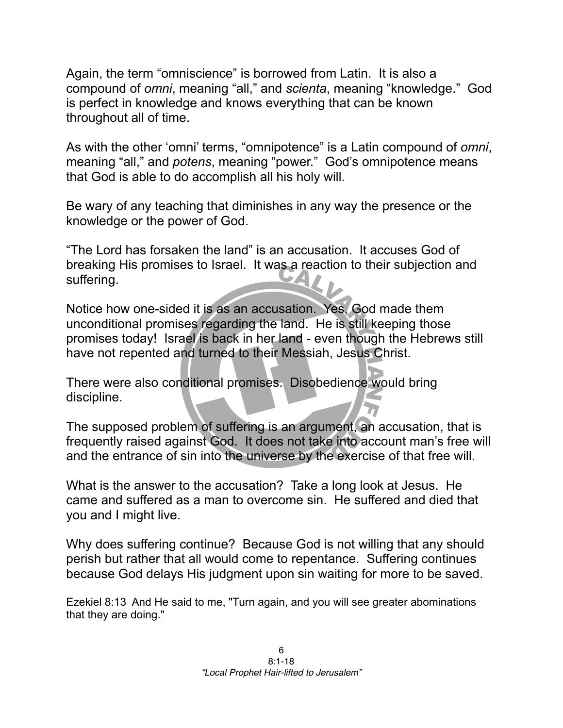Again, the term "omniscience" is borrowed from Latin. It is also a compound of *omni*, meaning "all," and *scienta*, meaning "knowledge." God is perfect in knowledge and knows everything that can be known throughout all of time.

As with the other 'omni' terms, "omnipotence" is a Latin compound of *omni*, meaning "all," and *potens*, meaning "power." God's omnipotence means that God is able to do accomplish all his holy will.

Be wary of any teaching that diminishes in any way the presence or the knowledge or the power of God.

"The Lord has forsaken the land" is an accusation. It accuses God of breaking His promises to Israel. It was a reaction to their subjection and suffering.

Notice how one-sided it is as an accusation. Yes, God made them unconditional promises regarding the land. He is still keeping those promises today! Israel is back in her land - even though the Hebrews still have not repented and turned to their Messiah, Jesus Christ.

There were also conditional promises. Disobedience would bring discipline.

The supposed problem of suffering is an argument, an accusation, that is frequently raised against God. It does not take into account man's free will and the entrance of sin into the universe by the exercise of that free will.

What is the answer to the accusation? Take a long look at Jesus. He came and suffered as a man to overcome sin. He suffered and died that you and I might live.

Why does suffering continue? Because God is not willing that any should perish but rather that all would come to repentance. Suffering continues because God delays His judgment upon sin waiting for more to be saved.

Ezekiel 8:13 And He said to me, "Turn again, and you will see greater abominations that they are doing."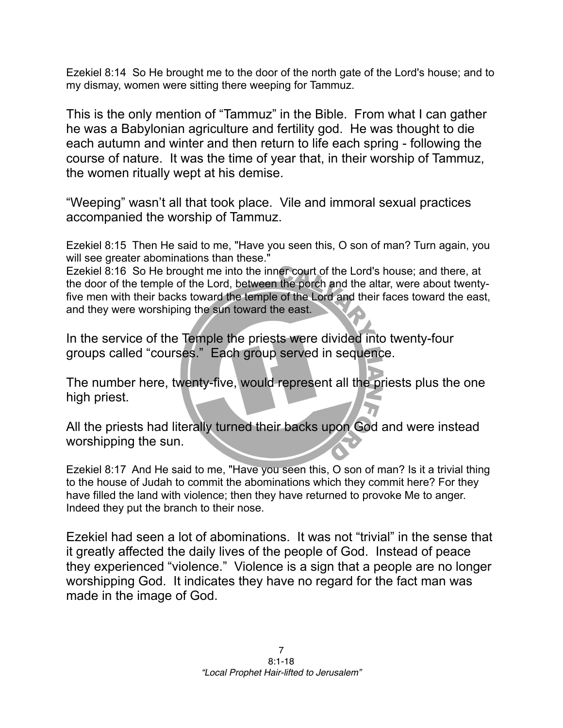Ezekiel 8:14 So He brought me to the door of the north gate of the Lord's house; and to my dismay, women were sitting there weeping for Tammuz.

This is the only mention of "Tammuz" in the Bible. From what I can gather he was a Babylonian agriculture and fertility god. He was thought to die each autumn and winter and then return to life each spring - following the course of nature. It was the time of year that, in their worship of Tammuz, the women ritually wept at his demise.

"Weeping" wasn't all that took place. Vile and immoral sexual practices accompanied the worship of Tammuz.

Ezekiel 8:15 Then He said to me, "Have you seen this, O son of man? Turn again, you will see greater abominations than these."

Ezekiel 8:16 So He brought me into the inner court of the Lord's house; and there, at the door of the temple of the Lord, between the porch and the altar, were about twentyfive men with their backs toward the temple of the Lord and their faces toward the east, and they were worshiping the sun toward the east.

In the service of the Temple the priests were divided into twenty-four groups called "courses." Each group served in sequence.

The number here, twenty-five, would represent all the priests plus the one high priest.

All the priests had literally turned their backs upon God and were instead worshipping the sun.

Ezekiel 8:17 And He said to me, "Have you seen this, O son of man? Is it a trivial thing to the house of Judah to commit the abominations which they commit here? For they have filled the land with violence; then they have returned to provoke Me to anger. Indeed they put the branch to their nose.

Ezekiel had seen a lot of abominations. It was not "trivial" in the sense that it greatly affected the daily lives of the people of God. Instead of peace they experienced "violence." Violence is a sign that a people are no longer worshipping God. It indicates they have no regard for the fact man was made in the image of God.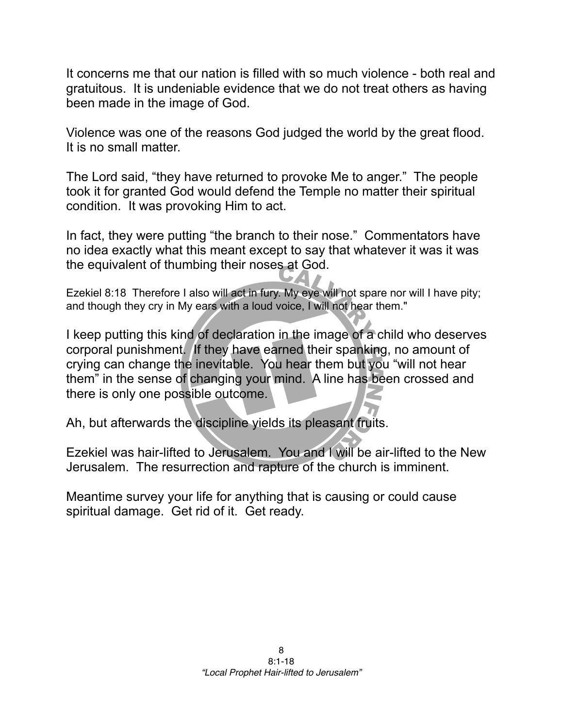It concerns me that our nation is filled with so much violence - both real and gratuitous. It is undeniable evidence that we do not treat others as having been made in the image of God.

Violence was one of the reasons God judged the world by the great flood. It is no small matter.

The Lord said, "they have returned to provoke Me to anger." The people took it for granted God would defend the Temple no matter their spiritual condition. It was provoking Him to act.

In fact, they were putting "the branch to their nose." Commentators have no idea exactly what this meant except to say that whatever it was it was the equivalent of thumbing their noses at God.

Ezekiel 8:18 Therefore I also will act in fury. My eye will not spare nor will I have pity; and though they cry in My ears with a loud voice, I will not hear them."

I keep putting this kind of declaration in the image of a child who deserves corporal punishment. If they have earned their spanking, no amount of crying can change the inevitable. You hear them but you "will not hear them" in the sense of changing your mind. A line has been crossed and there is only one possible outcome.

Ah, but afterwards the discipline yields its pleasant fruits.

Ezekiel was hair-lifted to Jerusalem. You and I will be air-lifted to the New Jerusalem. The resurrection and rapture of the church is imminent.

Meantime survey your life for anything that is causing or could cause spiritual damage. Get rid of it. Get ready.